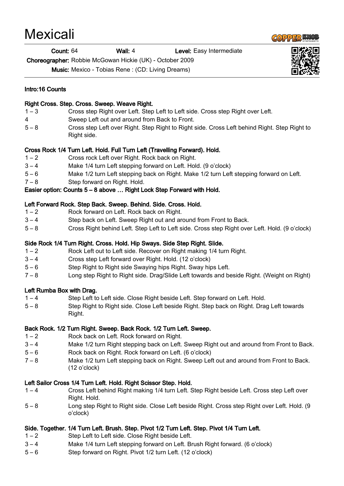| <b>Mexicali</b> |  |
|-----------------|--|
|                 |  |

#### **Count: 64** Wall: 4 Level: Easy Intermediate

Choreographer: Robbie McGowan Hickie (UK) - October 2009

Music: Mexico - Tobias Rene : (CD: Living Dreams)

#### Intro:16 Counts

#### Right Cross. Step. Cross. Sweep. Weave Right.

- 1 3 Cross step Right over Left. Step Left to Left side. Cross step Right over Left.
- 4 Sweep Left out and around from Back to Front.
- 5 8 Cross step Left over Right. Step Right to Right side. Cross Left behind Right. Step Right to Right side.

### Cross Rock 1/4 Turn Left. Hold. Full Turn Left (Travelling Forward). Hold.

- 1 2 Cross rock Left over Right. Rock back on Right.
- 3 4 Make 1/4 turn Left stepping forward on Left. Hold. (9 o'clock)
- 5 6 Make 1/2 turn Left stepping back on Right. Make 1/2 turn Left stepping forward on Left.
- 7 8 Step forward on Right. Hold.

# Easier option: Counts 5 – 8 above … Right Lock Step Forward with Hold.

### Left Forward Rock. Step Back. Sweep. Behind. Side. Cross. Hold.

- 1 2 Rock forward on Left. Rock back on Right.
- 3 4 Step back on Left. Sweep Right out and around from Front to Back.
- 5 8 Cross Right behind Left. Step Left to Left side. Cross step Right over Left. Hold. (9 o'clock)

# Side Rock 1/4 Turn Right. Cross. Hold. Hip Sways. Side Step Right. Slide.

- 1 2 Rock Left out to Left side. Recover on Right making 1/4 turn Right.
- 3 4 Cross step Left forward over Right. Hold. (12 o'clock)
- 5 6 Step Right to Right side Swaying hips Right. Sway hips Left.
- 7 8 Long step Right to Right side. Drag/Slide Left towards and beside Right. (Weight on Right)

# Left Rumba Box with Drag.

- 1 4 Step Left to Left side. Close Right beside Left. Step forward on Left. Hold.
- 5 8 Step Right to Right side. Close Left beside Right. Step back on Right. Drag Left towards Right.

# Back Rock. 1/2 Turn Right. Sweep. Back Rock. 1/2 Turn Left. Sweep.

- 1 2 Rock back on Left. Rock forward on Right.
- 3 4 Make 1/2 turn Right stepping back on Left. Sweep Right out and around from Front to Back.
- 5 6 Rock back on Right. Rock forward on Left. (6 o'clock)
- 7 8 Make 1/2 turn Left stepping back on Right. Sweep Left out and around from Front to Back. (12 o'clock)

# Left Sailor Cross 1/4 Turn Left. Hold. Right Scissor Step. Hold.

- 1 4 Cross Left behind Right making 1/4 turn Left. Step Right beside Left. Cross step Left over Right. Hold.
- 5 8 Long step Right to Right side. Close Left beside Right. Cross step Right over Left. Hold. (9 o'clock)

# Side. Together. 1/4 Turn Left. Brush. Step. Pivot 1/2 Turn Left. Step. Pivot 1/4 Turn Left.

- 1 2 Step Left to Left side. Close Right beside Left.
- 3 4 Make 1/4 turn Left stepping forward on Left. Brush Right forward. (6 o'clock)
- 5 6 Step forward on Right. Pivot 1/2 turn Left. (12 o'clock)